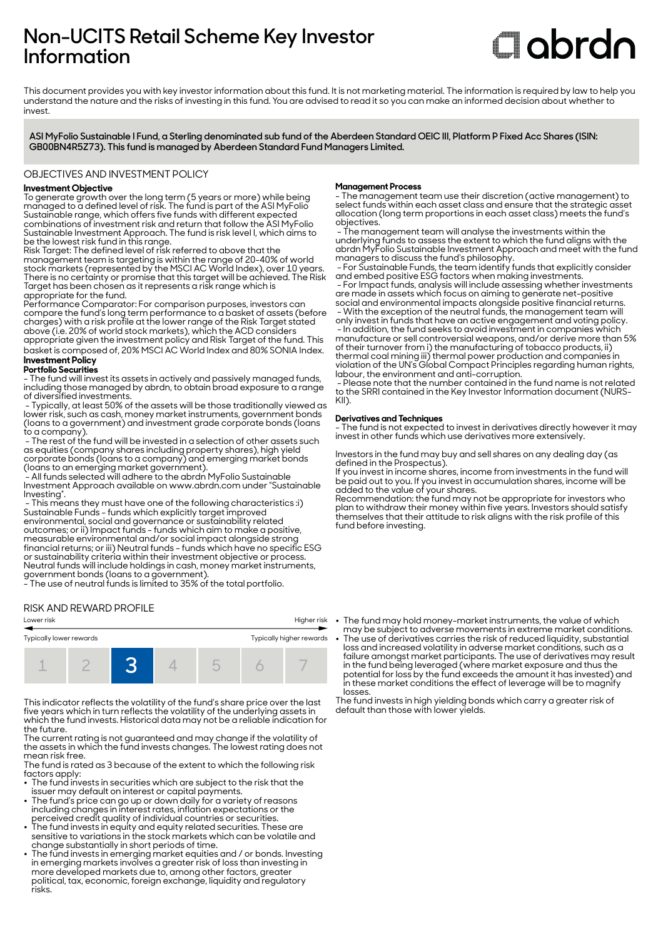## **Non-UCITS Retail Scheme Key Investor Information**

# **Clobrdn**

This document provides you with key investor information about this fund. It is not marketing material. The information is required by law to help you understand the nature and the risks of investing in this fund. You are advised to read it so you can make an informed decision about whether to invest

**ASI MyFolio Sustainable I Fund, a Sterling denominated sub fund of the Aberdeen Standard OEIC III, Platform P Fixed Acc Shares (ISIN: GB00BN4R5Z73). This fund is managed by Aberdeen Standard Fund Managers Limited.**

#### OBJECTIVES AND INVESTMENT POLICY

#### **Investment Objective**

To generate growth over the long term (5 years or more) while being managed to a defined level of risk. The fund is part of the ASI MyFolio Sustainable range, which offers five funds with different expected combinations of investment risk and return that follow the ASI MyFolio Sustainable Investment Approach. The fund is risk level I, which aims to be the lowest risk fund in this range.

Risk Target: The defined level of risk referred to above that the management team is targeting is within the range of 20-40% of world stock markets (represented by the MSCI AC World Index), over 10 years. There is no certainty or promise that this target will be achieved. The Risk Target has been chosen as it represents a risk range which is appropriate for the fund.

Performance Comparator: For comparison purposes, investors can compare the fund's long term performance to a basket of assets (before charges) with a risk profile at the lower range of the Risk Target stated above (i.e. 20% of world stock markets), which the ACD considers

appropriate given the investment policy and Risk Target of the fund. This basket is composed of, 20% MSCI AC World Index and 80% SONIA Index. **Investment Policy** 

#### **Portfolio Securities**

- The fund will invest its assets in actively and passively managed funds, including those managed by abrdn, to obtain broad exposure to a range of diversified investments.

 - Typically, at least 50% of the assets will be those traditionally viewed as lower risk, such as cash, money market instruments, government bonds (loans to a government) and investment grade corporate bonds (loans to a company).

 - The rest of the fund will be invested in a selection of other assets such as equities (company shares including property shares), high yield corporate bonds (loans to a company) and emerging market bonds (loans to an emerging market government).

 - All funds selected will adhere to the abrdn MyFolio Sustainable Investment Approach available on www.abrdn.com under "Sustainable Investing".

 - This means they must have one of the following characteristics :i) Sustainable Funds - funds which explicitly target improved environmental, social and governance or sustainability related outcomes; or ii) Impact funds - funds which aim to make a positive, measurable environmental and/or social impact alongside strong financial returns; or iii) Neutral funds - funds which have no specific ESG or sustainability criteria within their investment objective or process. Neutral funds will include holdings in cash, money market instruments, government bonds (loans to a government).

- The use of neutral funds is limited to 35% of the total portfolio.

#### RISK AND REWARD PROFILE

## Lower risk Higher risk Typically lower rewards Typically higher rewards 1 2 **3** 4 5 6 7

This indicator reflects the volatility of the fund's share price over the last five years which in turn reflects the volatility of the underlying assets in which the fund invests. Historical data may not be a reliable indication for the future.

The current rating is not guaranteed and may change if the volatility of the assets in which the fund invests changes. The lowest rating does not mean risk free.

The fund is rated as 3 because of the extent to which the following risk factors apply:

- The fund invests in securities which are subject to the risk that the
- issuer may default on interest or capital payments. 2 The fund's price can go up or down daily for a variety of reasons including changes in interest rates, inflation expectations or the perceived credit quality of individual countries or securities.
- $\bullet~$  The fund invests in equity and equity related securities. These are sensitive to variations in the stock markets which can be volatile and
- change substantially in short periods of time. 2 The fund invests in emerging market equities and / or bonds. Investing in emerging markets involves a greater risk of loss than investing in more developed markets due to, among other factors, greater political, tax, economic, foreign exchange, liquidity and regulatory risks.

#### **Management Process**

- The management team use their discretion (active management) to select funds within each asset class and ensure that the strategic asset allocation (long term proportions in each asset class) meets the fund's objectives.

 - The management team will analyse the investments within the underlying funds to assess the extent to which the fund aligns with the abrdn MyFolio Sustainable Investment Approach and meet with the fund managers to discuss the fund's philosophy.

 - For Sustainable Funds, the team identify funds that explicitly consider and embed positive ESG factors when making investments.

 - For Impact funds, analysis will include assessing whether investments are made in assets which focus on aiming to generate net-positive social and environmental impacts alongside positive financial returns. - With the exception of the neutral funds, the management team will only invest in funds that have an active engagement and voting policy. - In addition, the fund seeks to avoid investment in companies which manufacture or sell controversial weapons, and/or derive more than 5%

of their turnover from i) the manufacturing of tobacco products, ii) thermal coal mining iii) thermal power production and companies in violation of the UN's Global Compact Principles regarding human rights, labour, the environment and anti-corruption.

 - Please note that the number contained in the fund name is not related to the SRRI contained in the Key Investor Information document (NURS-KII).

#### **Derivatives and Techniques**

- The fund is not expected to invest in derivatives directly however it may invest in other funds which use derivatives more extensively.

Investors in the fund may buy and sell shares on any dealing day (as defined in the Prospectus).

If you invest in income shares, income from investments in the fund will be paid out to you. If you invest in accumulation shares, income will be added to the value of your shares.

Recommendation: the fund may not be appropriate for investors who plan to withdraw their money within five years. Investors should satisfy themselves that their attitude to risk aligns with the risk profile of this fund before investing.

• The fund may hold money-market instruments, the value of which

may be subject to adverse movements in extreme market conditions. 2 The use of derivatives carries the risk of reduced liquidity, substantial loss and increased volatility in adverse market conditions, such as a failure amongst market participants. The use of derivatives may result in the fund being leveraged (where market exposure and thus the potential for loss by the fund exceeds the amount it has invested) and in these market conditions the effect of leverage will be to magnify losses.

The fund invests in high yielding bonds which carry a greater risk of default than those with lower yields.